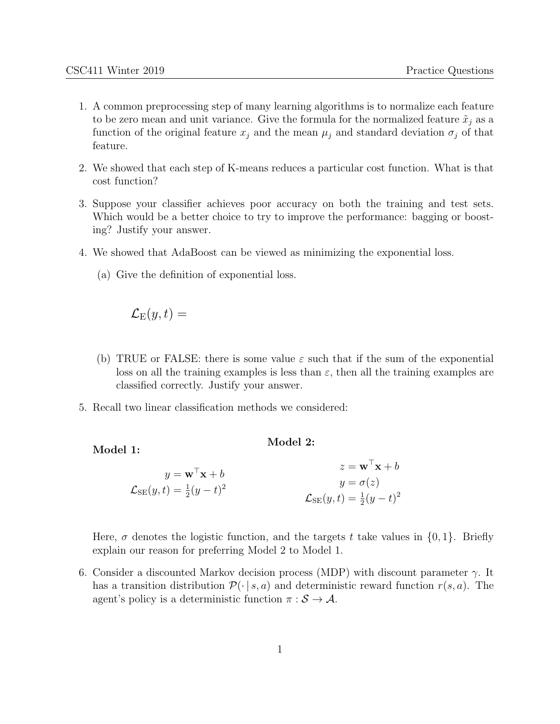- 1. A common preprocessing step of many learning algorithms is to normalize each feature to be zero mean and unit variance. Give the formula for the normalized feature  $\tilde{x}_j$  as a function of the original feature  $x_j$  and the mean  $\mu_j$  and standard deviation  $\sigma_j$  of that feature.
- 2. We showed that each step of K-means reduces a particular cost function. What is that cost function?
- 3. Suppose your classifier achieves poor accuracy on both the training and test sets. Which would be a better choice to try to improve the performance: bagging or boosting? Justify your answer.
- 4. We showed that AdaBoost can be viewed as minimizing the exponential loss.
	- (a) Give the definition of exponential loss.

$$
\mathcal{L}_\text{E}(y,t) =
$$

Model 1:

(b) TRUE or FALSE: there is some value  $\varepsilon$  such that if the sum of the exponential loss on all the training examples is less than  $\varepsilon$ , then all the training examples are classified correctly. Justify your answer.

Model 2:

5. Recall two linear classification methods we considered:

| $y = \mathbf{w}^\top \mathbf{x} + b$                | $z = \mathbf{w}^\top \mathbf{x} + b$                |
|-----------------------------------------------------|-----------------------------------------------------|
| $\mathcal{L}_{\text{SE}}(y,t) = \frac{1}{2}(y-t)^2$ | $y = \sigma(z)$                                     |
|                                                     | $\mathcal{L}_{\text{SE}}(y,t) = \frac{1}{2}(y-t)^2$ |

Here,  $\sigma$  denotes the logistic function, and the targets t take values in  $\{0, 1\}$ . Briefly explain our reason for preferring Model 2 to Model 1.

6. Consider a discounted Markov decision process (MDP) with discount parameter  $\gamma$ . It has a transition distribution  $\mathcal{P}(\cdot | s, a)$  and deterministic reward function  $r(s, a)$ . The agent's policy is a deterministic function  $\pi : \mathcal{S} \to \mathcal{A}$ .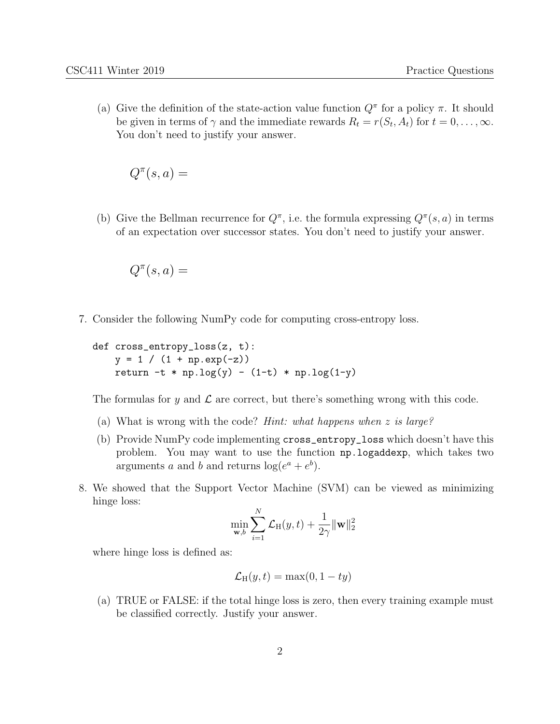(a) Give the definition of the state-action value function  $Q^{\pi}$  for a policy  $\pi$ . It should be given in terms of  $\gamma$  and the immediate rewards  $R_t = r(S_t, A_t)$  for  $t = 0, \ldots, \infty$ . You don't need to justify your answer.

$$
Q^{\pi}(s, a) =
$$

(b) Give the Bellman recurrence for  $Q^{\pi}$ , i.e. the formula expressing  $Q^{\pi}(s, a)$  in terms of an expectation over successor states. You don't need to justify your answer.

$$
Q^{\pi}(s, a) =
$$

7. Consider the following NumPy code for computing cross-entropy loss.

```
def cross_entropy_loss(z, t):
y = 1 / (1 + np. exp(-z))return -t * np.log(y) - (1-t) * np.log(1-y)
```
The formulas for y and  $\mathcal L$  are correct, but there's something wrong with this code.

- (a) What is wrong with the code? Hint: what happens when z is large?
- (b) Provide NumPy code implementing cross\_entropy\_loss which doesn't have this problem. You may want to use the function np.logaddexp, which takes two arguments a and b and returns  $log(e^a + e^b)$ .
- 8. We showed that the Support Vector Machine (SVM) can be viewed as minimizing hinge loss:

$$
\min_{\mathbf{w},b} \sum_{i=1}^{N} \mathcal{L}_{\text{H}}(y,t) + \frac{1}{2\gamma} ||\mathbf{w}||_2^2
$$

where hinge loss is defined as:

$$
\mathcal{L}_{\mathrm{H}}(y,t) = \max(0, 1 - ty)
$$

(a) TRUE or FALSE: if the total hinge loss is zero, then every training example must be classified correctly. Justify your answer.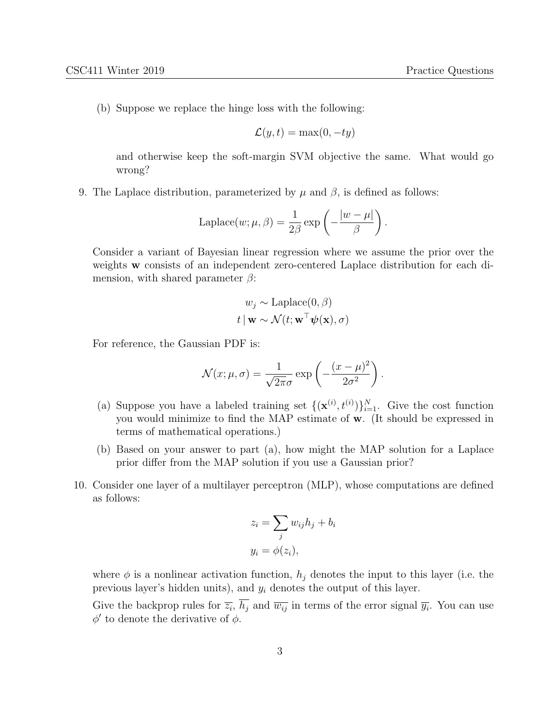(b) Suppose we replace the hinge loss with the following:

$$
\mathcal{L}(y, t) = \max(0, -ty)
$$

and otherwise keep the soft-margin SVM objective the same. What would go wrong?

9. The Laplace distribution, parameterized by  $\mu$  and  $\beta$ , is defined as follows:

Laplace
$$
(w; \mu, \beta) = \frac{1}{2\beta} \exp \left(-\frac{|w - \mu|}{\beta}\right).
$$

Consider a variant of Bayesian linear regression where we assume the prior over the weights w consists of an independent zero-centered Laplace distribution for each dimension, with shared parameter  $\beta$ :

$$
w_j \sim \text{Laplace}(0, \beta)
$$
  

$$
t | \mathbf{w} \sim \mathcal{N}(t; \mathbf{w}^\top \boldsymbol{\psi}(\mathbf{x}), \sigma)
$$

For reference, the Gaussian PDF is:

$$
\mathcal{N}(x; \mu, \sigma) = \frac{1}{\sqrt{2\pi}\sigma} \exp\left(-\frac{(x-\mu)^2}{2\sigma^2}\right).
$$

- (a) Suppose you have a labeled training set  $\{(\mathbf{x}^{(i)}, t^{(i)})\}_{i=1}^N$ . Give the cost function you would minimize to find the MAP estimate of w. (It should be expressed in terms of mathematical operations.)
- (b) Based on your answer to part (a), how might the MAP solution for a Laplace prior differ from the MAP solution if you use a Gaussian prior?
- 10. Consider one layer of a multilayer perceptron (MLP), whose computations are defined as follows:

$$
z_i = \sum_j w_{ij} h_j + b_i
$$
  

$$
y_i = \phi(z_i),
$$

where  $\phi$  is a nonlinear activation function,  $h_j$  denotes the input to this layer (i.e. the previous layer's hidden units), and  $y_i$  denotes the output of this layer.

Give the backprop rules for  $\overline{z_i}$ ,  $h_j$  and  $\overline{w_{ij}}$  in terms of the error signal  $\overline{y_i}$ . You can use  $\phi'$  to denote the derivative of  $\phi$ .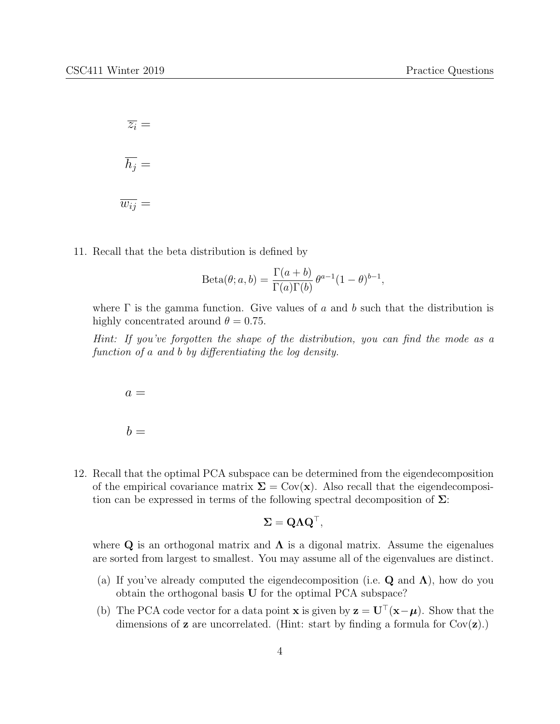$\overline{z_i} =$  $\overline{h_j} =$  $\overline{w_{ij}} =$ 

11. Recall that the beta distribution is defined by

$$
Beta(\theta; a, b) = \frac{\Gamma(a+b)}{\Gamma(a)\Gamma(b)} \theta^{a-1} (1-\theta)^{b-1},
$$

where  $\Gamma$  is the gamma function. Give values of a and b such that the distribution is highly concentrated around  $\theta = 0.75$ .

Hint: If you've forgotten the shape of the distribution, you can find the mode as a function of a and b by differentiating the log density.

$$
a =
$$
  

$$
b =
$$

12. Recall that the optimal PCA subspace can be determined from the eigendecomposition of the empirical covariance matrix  $\Sigma = \text{Cov}(\mathbf{x})$ . Also recall that the eigendecomposition can be expressed in terms of the following spectral decomposition of  $\Sigma$ :

$$
\Sigma = \mathbf{Q} \Lambda \mathbf{Q}^{\top},
$$

where Q is an orthogonal matrix and  $\Lambda$  is a digonal matrix. Assume the eigenalues are sorted from largest to smallest. You may assume all of the eigenvalues are distinct.

- (a) If you've already computed the eigendecomposition (i.e.  $\bf{Q}$  and  $\bf{\Lambda}$ ), how do you obtain the orthogonal basis U for the optimal PCA subspace?
- (b) The PCA code vector for a data point **x** is given by  $\mathbf{z} = \mathbf{U}^{\top}(\mathbf{x}-\boldsymbol{\mu})$ . Show that the dimensions of **z** are uncorrelated. (Hint: start by finding a formula for  $Cov(\mathbf{z})$ .)